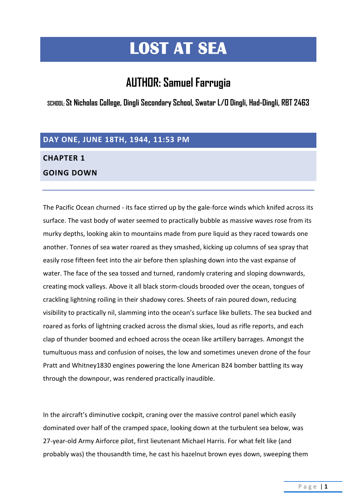# **LOST AT SEA**

## **AUTHOR: Samuel Farrugia**

**SCHOOL: St Nicholas College, Dingli Secondary School, Swatar L/O Dingli, Had-Dingli, RBT 2463**

#### **DAY ONE, JUNE 18TH, 1944, 11:53 PM**

#### **CHAPTER 1**

#### **GOING DOWN**

The Pacific Ocean churned - its face stirred up by the gale-force winds which knifed across its surface. The vast body of water seemed to practically bubble as massive waves rose from its murky depths, looking akin to mountains made from pure liquid as they raced towards one another. Tonnes of sea water roared as they smashed, kicking up columns of sea spray that easily rose fifteen feet into the air before then splashing down into the vast expanse of water. The face of the sea tossed and turned, randomly cratering and sloping downwards, creating mock valleys. Above it all black storm-clouds brooded over the ocean, tongues of crackling lightning roiling in their shadowy cores. Sheets of rain poured down, reducing visibility to practically nil, slamming into the ocean's surface like bullets. The sea bucked and roared as forks of lightning cracked across the dismal skies, loud as rifle reports, and each clap of thunder boomed and echoed across the ocean like artillery barrages. Amongst the tumultuous mass and confusion of noises, the low and sometimes uneven drone of the four Pratt and Whitney1830 engines powering the lone American B24 bomber battling its way through the downpour, was rendered practically inaudible.

In the aircraft's diminutive cockpit, craning over the massive control panel which easily dominated over half of the cramped space, looking down at the turbulent sea below, was 27-year-old Army Airforce pilot, first lieutenant Michael Harris. For what felt like (and probably was) the thousandth time, he cast his hazelnut brown eyes down, sweeping them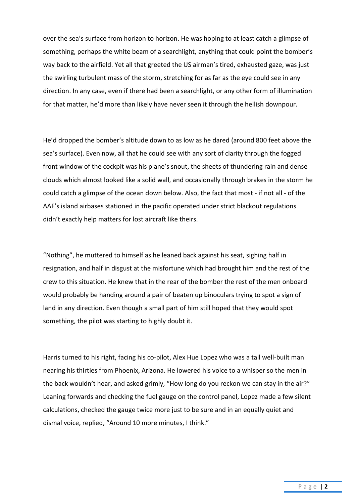over the sea's surface from horizon to horizon. He was hoping to at least catch a glimpse of something, perhaps the white beam of a searchlight, anything that could point the bomber's way back to the airfield. Yet all that greeted the US airman's tired, exhausted gaze, was just the swirling turbulent mass of the storm, stretching for as far as the eye could see in any direction. In any case, even if there had been a searchlight, or any other form of illumination for that matter, he'd more than likely have never seen it through the hellish downpour.

He'd dropped the bomber's altitude down to as low as he dared (around 800 feet above the sea's surface). Even now, all that he could see with any sort of clarity through the fogged front window of the cockpit was his plane's snout, the sheets of thundering rain and dense clouds which almost looked like a solid wall, and occasionally through brakes in the storm he could catch a glimpse of the ocean down below. Also, the fact that most - if not all - of the AAF's island airbases stationed in the pacific operated under strict blackout regulations didn't exactly help matters for lost aircraft like theirs.

"Nothing", he muttered to himself as he leaned back against his seat, sighing half in resignation, and half in disgust at the misfortune which had brought him and the rest of the crew to this situation. He knew that in the rear of the bomber the rest of the men onboard would probably be handing around a pair of beaten up binoculars trying to spot a sign of land in any direction. Even though a small part of him still hoped that they would spot something, the pilot was starting to highly doubt it.

Harris turned to his right, facing his co-pilot, Alex Hue Lopez who was a tall well-built man nearing his thirties from Phoenix, Arizona. He lowered his voice to a whisper so the men in the back wouldn't hear, and asked grimly, "How long do you reckon we can stay in the air?" Leaning forwards and checking the fuel gauge on the control panel, Lopez made a few silent calculations, checked the gauge twice more just to be sure and in an equally quiet and dismal voice, replied, "Around 10 more minutes, I think."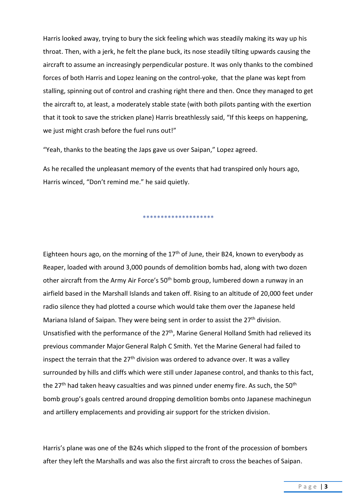Harris looked away, trying to bury the sick feeling which was steadily making its way up his throat. Then, with a jerk, he felt the plane buck, its nose steadily tilting upwards causing the aircraft to assume an increasingly perpendicular posture. It was only thanks to the combined forces of both Harris and Lopez leaning on the control-yoke, that the plane was kept from stalling, spinning out of control and crashing right there and then. Once they managed to get the aircraft to, at least, a moderately stable state (with both pilots panting with the exertion that it took to save the stricken plane) Harris breathlessly said, "If this keeps on happening, we just might crash before the fuel runs out!"

"Yeah, thanks to the beating the Japs gave us over Saipan," Lopez agreed.

As he recalled the unpleasant memory of the events that had transpired only hours ago, Harris winced, "Don't remind me." he said quietly.

\*\*\*\*\*\*\*\*\*\*\*\*\*\*\*\*\*\*\*\*

Eighteen hours ago, on the morning of the  $17<sup>th</sup>$  of June, their B24, known to everybody as Reaper, loaded with around 3,000 pounds of demolition bombs had, along with two dozen other aircraft from the Army Air Force's 50th bomb group, lumbered down a runway in an airfield based in the Marshall Islands and taken off. Rising to an altitude of 20,000 feet under radio silence they had plotted a course which would take them over the Japanese held Mariana Island of Saipan. They were being sent in order to assist the 27<sup>th</sup> division. Unsatisfied with the performance of the 27<sup>th</sup>, Marine General Holland Smith had relieved its previous commander MajorGeneral Ralph C Smith. Yet the Marine General had failed to inspect the terrain that the  $27<sup>th</sup>$  division was ordered to advance over. It was a valley surrounded by hills and cliffs which were still under Japanese control, and thanks to this fact, the 27<sup>th</sup> had taken heavy casualties and was pinned under enemy fire. As such, the 50<sup>th</sup> bomb group's goals centred around dropping demolition bombs onto Japanese machinegun and artillery emplacements and providing air support for the stricken division.

Harris's plane was one of the B24s which slipped to the front of the procession of bombers after they left the Marshalls and was also the first aircraft to cross the beaches of Saipan.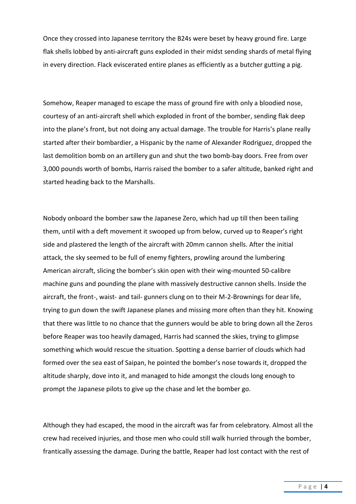Once they crossed into Japanese territory the B24s were beset by heavy ground fire. Large flak shells lobbed by anti-aircraft guns exploded in their midst sending shards of metal flying in every direction. Flack eviscerated entire planes as efficiently as a butcher gutting a pig.

Somehow, Reaper managed to escape the mass of ground fire with only a bloodied nose, courtesy of an anti-aircraft shell which exploded in front of the bomber, sending flak deep into the plane's front, but not doing any actual damage. The trouble for Harris's plane really started after their bombardier, a Hispanic by the name of Alexander Rodriguez, dropped the last demolition bomb on an artillery gun and shut the two bomb-bay doors. Free from over 3,000 pounds worth of bombs, Harris raised the bomber to a safer altitude, banked right and started heading back to the Marshalls.

Nobody onboard the bomber saw the Japanese Zero, which had up till then been tailing them, until with a deft movement it swooped up from below, curved up to Reaper's right side and plastered the length of the aircraft with 20mm cannon shells. After the initial attack, the sky seemed to be full of enemy fighters, prowling around the lumbering American aircraft, slicing the bomber's skin open with their wing-mounted 50-calibre machine guns and pounding the plane with massively destructive cannon shells. Inside the aircraft, the front-, waist- and tail- gunners clung on to their M-2-Brownings for dear life, trying to gun down the swift Japanese planes and missing more often than they hit. Knowing that there was little to no chance that the gunners would be able to bring down all the Zeros before Reaper was too heavily damaged, Harris had scanned the skies, trying to glimpse something which would rescue the situation. Spotting a dense barrier of clouds which had formed over the sea east of Saipan, he pointed the bomber's nose towards it, dropped the altitude sharply, dove into it, and managed to hide amongst the clouds long enough to prompt the Japanese pilots to give up the chase and let the bomber go.

Although they had escaped, the mood in the aircraft was far from celebratory. Almost all the crew had received injuries, and those men who could still walk hurried through the bomber, frantically assessing the damage. During the battle, Reaper had lost contact with the rest of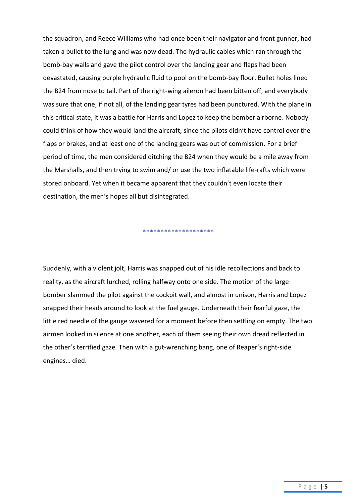the squadron, and Reece Williams who had once been their navigator and front gunner, had taken a bullet to the lung and was now dead. The hydraulic cables which ran through the bomb-bay walls and gave the pilot control over the landing gear and flaps had been devastated, causing purple hydraulic fluid to pool on the bomb-bay floor. Bullet holes lined the B24 from nose to tail. Part of the right-wing aileron had been bitten off, and everybody was sure that one, if not all, of the landing gear tyres had been punctured. With the plane in this critical state, it was a battle for Harris and Lopez to keep the bomber airborne. Nobody could think of how they would land the aircraft, since the pilots didn't have control over the flaps or brakes, and at least one of the landing gears was out of commission. For a brief period of time, the men considered ditching the B24 when they would be a mile away from the Marshalls, and then trying to swim and/ or use the two inflatable life-rafts which were stored onboard. Yet when it became apparent that they couldn't even locate their destination, the men's hopes all but disintegrated.

Suddenly, with a violent jolt, Harris was snapped out of his idle recollections and back to reality, as the aircraft lurched, rolling halfway onto one side. The motion of the large bomber slammed the pilot against the cockpit wall, and almost in unison, Harris and Lopez snapped their heads around to look at the fuel gauge. Underneath their fearful gaze, the little red needle of the gauge wavered for a moment before then settling on empty. The two airmen looked in silence at one another, each of them seeing their own dread reflected in the other's terrified gaze. Then with a gut-wrenching bang, one of Reaper's right-side engines… died.

\*\*\*\*\*\*\*\*\*\*\*\*\*\*\*\*\*\*\*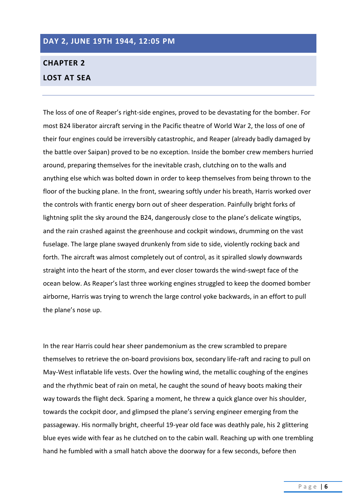#### **DAY 2, JUNE 19TH 1944, 12:05 PM**

### **CHAPTER 2 LOST AT SEA**

The loss of one of Reaper's right-side engines, proved to be devastating for the bomber. For most B24 liberator aircraft serving in the Pacific theatre of World War 2, the loss of one of their four engines could be irreversibly catastrophic, and Reaper (already badly damaged by the battle over Saipan) proved to be no exception. Inside the bomber crew members hurried around, preparing themselves for the inevitable crash, clutching on to the walls and anything else which was bolted down in order to keep themselves from being thrown to the floor of the bucking plane. In the front, swearing softly under his breath, Harris worked over the controls with frantic energy born out of sheer desperation. Painfully bright forks of lightning split the sky around the B24, dangerously close to the plane's delicate wingtips, and the rain crashed against the greenhouse and cockpit windows, drumming on the vast fuselage. The large plane swayed drunkenly from side to side, violently rocking back and forth. The aircraft was almost completely out of control, as it spiralled slowly downwards straight into the heart of the storm, and ever closer towards the wind-swept face of the ocean below. As Reaper's last three working engines struggled to keep the doomed bomber airborne, Harris was trying to wrench the large control yoke backwards, in an effort to pull the plane's nose up.

In the rear Harris could hear sheer pandemonium as the crew scrambled to prepare themselves to retrieve the on-board provisions box, secondary life-raft and racing to pull on May-West inflatable life vests. Over the howling wind, the metallic coughing of the engines and the rhythmic beat of rain on metal, he caught the sound of heavy boots making their way towards the flight deck. Sparing a moment, he threw a quick glance over his shoulder, towards the cockpit door, and glimpsed the plane's serving engineer emerging from the passageway. His normally bright, cheerful 19-year old face was deathly pale, his 2 glittering blue eyes wide with fear as he clutched on to the cabin wall. Reaching up with one trembling hand he fumbled with a small hatch above the doorway for a few seconds, before then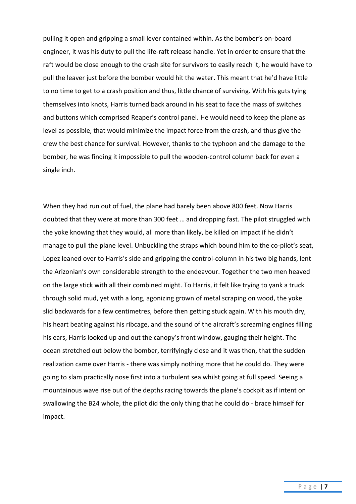pulling it open and gripping a small lever contained within. As the bomber's on-board engineer, it was his duty to pull the life-raft release handle. Yet in order to ensure that the raft would be close enough to the crash site for survivors to easily reach it, he would have to pull the leaver just before the bomber would hit the water. This meant that he'd have little to no time to get to a crash position and thus, little chance of surviving. With his guts tying themselves into knots, Harris turned back around in his seat to face the mass of switches and buttons which comprised Reaper's control panel. He would need to keep the plane as level as possible, that would minimize the impact force from the crash, and thus give the crew the best chance for survival. However, thanks to the typhoon and the damage to the bomber, he was finding it impossible to pull the wooden-control column back for even a single inch.

When they had run out of fuel, the plane had barely been above 800 feet. Now Harris doubted that they were at more than 300 feet … and dropping fast. The pilot struggled with the yoke knowing that they would, all more than likely, be killed on impact if he didn't manage to pull the plane level. Unbuckling the straps which bound him to the co-pilot's seat, Lopez leaned over to Harris's side and gripping the control-column in his two big hands, lent the Arizonian's own considerable strength to the endeavour. Together the two men heaved on the large stick with all their combined might. To Harris, it felt like trying to yank a truck through solid mud, yet with a long, agonizing grown of metal scraping on wood, the yoke slid backwards for a few centimetres, before then getting stuck again. With his mouth dry, his heart beating against his ribcage, and the sound of the aircraft's screaming engines filling his ears, Harris looked up and out the canopy's front window, gauging their height. The ocean stretched out below the bomber, terrifyingly close and it was then, that the sudden realization came over Harris - there was simply nothing more that he could do. They were going to slam practically nose first into a turbulent sea whilst going at full speed. Seeing a mountainous wave rise out of the depths racing towards the plane's cockpit as if intent on swallowing the B24 whole, the pilot did the only thing that he could do - brace himself for impact.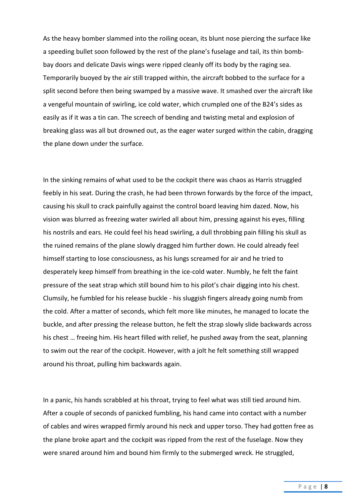As the heavy bomber slammed into the roiling ocean, its blunt nose piercing the surface like a speeding bullet soon followed by the rest of the plane's fuselage and tail, its thin bombbay doors and delicate Davis wings were ripped cleanly off its body by the raging sea. Temporarily buoyed by the air still trapped within, the aircraft bobbed to the surface for a split second before then being swamped by a massive wave. It smashed over the aircraft like a vengeful mountain of swirling, ice cold water, which crumpled one of the B24's sides as easily as if it was a tin can. The screech of bending and twisting metal and explosion of breaking glass was all but drowned out, as the eager water surged within the cabin, dragging the plane down under the surface.

In the sinking remains of what used to be the cockpit there was chaos as Harris struggled feebly in his seat. During the crash, he had been thrown forwards by the force of the impact, causing his skull to crack painfully against the control board leaving him dazed. Now, his vision was blurred as freezing water swirled all about him, pressing against his eyes, filling his nostrils and ears. He could feel his head swirling, a dull throbbing pain filling his skull as the ruined remains of the plane slowly dragged him further down. He could already feel himself starting to lose consciousness, as his lungs screamed for air and he tried to desperately keep himself from breathing in the ice-cold water. Numbly, he felt the faint pressure of the seat strap which still bound him to his pilot's chair digging into his chest. Clumsily, he fumbled for his release buckle - his sluggish fingers already going numb from the cold. After a matter of seconds, which felt more like minutes, he managed to locate the buckle, and after pressing the release button, he felt the strap slowly slide backwards across his chest … freeing him. His heart filled with relief, he pushed away from the seat, planning to swim out the rear of the cockpit. However, with a jolt he felt something still wrapped around his throat, pulling him backwards again.

In a panic, his hands scrabbled at his throat, trying to feel what was still tied around him. After a couple of seconds of panicked fumbling, his hand came into contact with a number of cables and wires wrapped firmly around his neck and upper torso. They had gotten free as the plane broke apart and the cockpit was ripped from the rest of the fuselage. Now they were snared around him and bound him firmly to the submerged wreck. He struggled,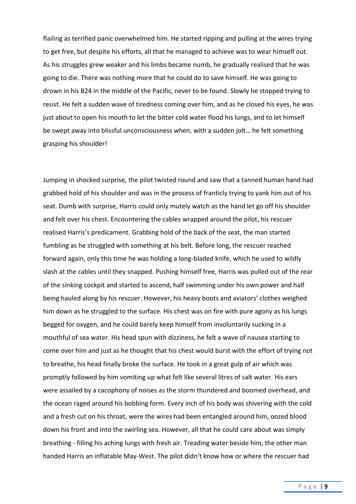flailing as terrified panic overwhelmed him. He started ripping and pulling at the wires trying to get free, but despite his efforts, all that he managed to achieve was to wear himself out. As his struggles grew weaker and his limbs became numb, he gradually realised that he was going to die. There was nothing more that he could do to save himself. He was going to drown in his B24 in the middle of the Pacific, never to be found. Slowly he stopped trying to resist. He felt a sudden wave of tiredness coming over him, and as he closed his eyes, he was just about to open his mouth to let the bitter cold water flood his lungs, and to let himself be swept away into blissful unconsciousness when, with a sudden jolt… he felt something grasping his shoulder!

Jumping in shocked surprise, the pilot twisted round and saw that a tanned human hand had grabbed hold of his shoulder and was in the process of franticly trying to yank him out of his seat. Dumb with surprise, Harris could only mutely watch as the hand let go off his shoulder and felt over his chest. Encountering the cables wrapped around the pilot, his rescuer realised Harris's predicament. Grabbing hold of the back of the seat, the man started fumbling as he struggled with something at his belt. Before long, the rescuer reached forward again, only this time he was holding a long-bladed knife, which he used to wildly slash at the cables until they snapped. Pushing himself free, Harris was pulled out of the rear of the sinking cockpit and started to ascend, half swimming under his own power and half being hauled along by his rescuer. However, his heavy boots and aviators' clothes weighed him down as he struggled to the surface. His chest was on fire with pure agony as his lungs begged for oxygen, and he could barely keep himself from involuntarily sucking in a mouthful of sea water. His head spun with dizziness, he felt a wave of nausea starting to come over him and just as he thought that his chest would burst with the effort of trying not to breathe, his head finally broke the surface. He took in a great gulp of air which was promptly followed by him vomiting up what felt like several litres of salt water. His ears were assailed by a cacophony of noises as the storm thundered and boomed overhead, and the ocean raged around his bobbing form. Every inch of his body was shivering with the cold and a fresh cut on his throat, were the wires had been entangled around him, oozed blood down his front and into the swirling sea. However, all that he could care about was simply breathing - filling his aching lungs with fresh air. Treading water beside him, the other man handed Harris an inflatable May-West. The pilot didn't know how or where the rescuer had